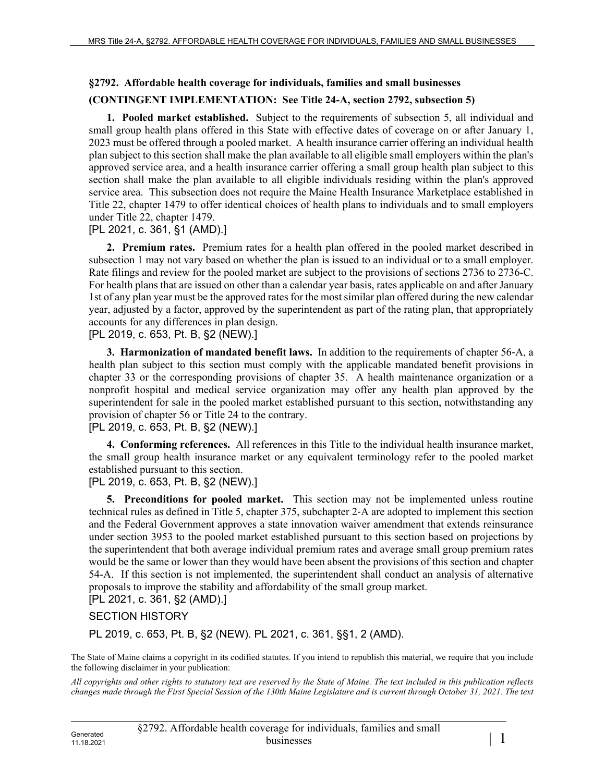# **§2792. Affordable health coverage for individuals, families and small businesses**

### **(CONTINGENT IMPLEMENTATION: See Title 24-A, section 2792, subsection 5)**

**1. Pooled market established.** Subject to the requirements of subsection 5, all individual and small group health plans offered in this State with effective dates of coverage on or after January 1, 2023 must be offered through a pooled market. A health insurance carrier offering an individual health plan subject to this section shall make the plan available to all eligible small employers within the plan's approved service area, and a health insurance carrier offering a small group health plan subject to this section shall make the plan available to all eligible individuals residing within the plan's approved service area. This subsection does not require the Maine Health Insurance Marketplace established in Title 22, chapter 1479 to offer identical choices of health plans to individuals and to small employers under Title 22, chapter 1479.

#### [PL 2021, c. 361, §1 (AMD).]

**2. Premium rates.** Premium rates for a health plan offered in the pooled market described in subsection 1 may not vary based on whether the plan is issued to an individual or to a small employer. Rate filings and review for the pooled market are subject to the provisions of sections 2736 to 2736-C. For health plans that are issued on other than a calendar year basis, rates applicable on and after January 1st of any plan year must be the approved rates for the most similar plan offered during the new calendar year, adjusted by a factor, approved by the superintendent as part of the rating plan, that appropriately accounts for any differences in plan design.

[PL 2019, c. 653, Pt. B, §2 (NEW).]

**3. Harmonization of mandated benefit laws.** In addition to the requirements of chapter 56‑A, a health plan subject to this section must comply with the applicable mandated benefit provisions in chapter 33 or the corresponding provisions of chapter 35. A health maintenance organization or a nonprofit hospital and medical service organization may offer any health plan approved by the superintendent for sale in the pooled market established pursuant to this section, notwithstanding any provision of chapter 56 or Title 24 to the contrary.

#### [PL 2019, c. 653, Pt. B, §2 (NEW).]

**4. Conforming references.** All references in this Title to the individual health insurance market, the small group health insurance market or any equivalent terminology refer to the pooled market established pursuant to this section.

#### [PL 2019, c. 653, Pt. B, §2 (NEW).]

**5. Preconditions for pooled market.** This section may not be implemented unless routine technical rules as defined in Title 5, chapter 375, subchapter 2‑A are adopted to implement this section and the Federal Government approves a state innovation waiver amendment that extends reinsurance under section 3953 to the pooled market established pursuant to this section based on projections by the superintendent that both average individual premium rates and average small group premium rates would be the same or lower than they would have been absent the provisions of this section and chapter 54-A. If this section is not implemented, the superintendent shall conduct an analysis of alternative proposals to improve the stability and affordability of the small group market.

## [PL 2021, c. 361, §2 (AMD).]

### SECTION HISTORY

PL 2019, c. 653, Pt. B, §2 (NEW). PL 2021, c. 361, §§1, 2 (AMD).

The State of Maine claims a copyright in its codified statutes. If you intend to republish this material, we require that you include the following disclaimer in your publication:

*All copyrights and other rights to statutory text are reserved by the State of Maine. The text included in this publication reflects changes made through the First Special Session of the 130th Maine Legislature and is current through October 31, 2021. The text*